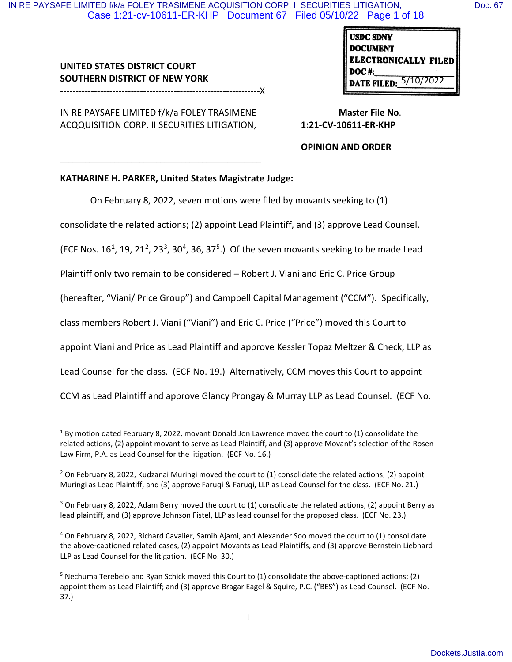**UNITED STATES DISTRICT COURT SOUTHERN DISTRICT OF NEW YORK**

-----------------------------------------------------------------X

IN RE PAYSAFE LIMITED f/k/a FOLEY TRASIMENE ACQQUISITION CORP. II SECURITIES LITIGATION,

 $\mathcal{L}_\mathcal{L} = \{ \mathcal{L}_\mathcal{L} = \{ \mathcal{L}_\mathcal{L} = \{ \mathcal{L}_\mathcal{L} = \{ \mathcal{L}_\mathcal{L} = \{ \mathcal{L}_\mathcal{L} = \{ \mathcal{L}_\mathcal{L} = \{ \mathcal{L}_\mathcal{L} = \{ \mathcal{L}_\mathcal{L} = \{ \mathcal{L}_\mathcal{L} = \{ \mathcal{L}_\mathcal{L} = \{ \mathcal{L}_\mathcal{L} = \{ \mathcal{L}_\mathcal{L} = \{ \mathcal{L}_\mathcal{L} = \{ \mathcal{L}_\mathcal{$ 

**USDC SDNY DOCUMENT ELECTRONICALLY FILED DOC#: DATE FILED:** 5/10/2022

 **Master File No**. **1:21-CV-10611-ER-KHP**

**OPINION AND ORDER**

### **KATHARINE H. PARKER, United States Magistrate Judge:**

On February 8, 2022, seven motions were filed by movants seeking to (1)

consolidate the related actions; (2) appoint Lead Plaintiff, and (3) approve Lead Counsel.

(ECF Nos.  $16<sup>1</sup>$ , 19, 21<sup>2</sup>, 23<sup>3</sup>, 30<sup>4</sup>, 36, 37<sup>5</sup>.) Of the seven movants seeking to be made Lead

Plaintiff only two remain to be considered – Robert J. Viani and Eric C. Price Group

(hereafter, "Viani/ Price Group") and Campbell Capital Management ("CCM"). Specifically,

class members Robert J. Viani ("Viani") and Eric C. Price ("Price") moved this Court to

appoint Viani and Price as Lead Plaintiff and approve Kessler Topaz Meltzer & Check, LLP as

Lead Counsel for the class. (ECF No. 19.) Alternatively, CCM moves this Court to appoint

CCM as Lead Plaintiff and approve Glancy Prongay & Murray LLP as Lead Counsel. (ECF No.

 $1$  By motion dated February 8, 2022, movant Donald Jon Lawrence moved the court to (1) consolidate the related actions, (2) appoint movant to serve as Lead Plaintiff, and (3) approve Movant's selection of the Rosen Law Firm, P.A. as Lead Counsel for the litigation. (ECF No. 16.)

<sup>&</sup>lt;sup>2</sup> On February 8, 2022, Kudzanai Muringi moved the court to (1) consolidate the related actions, (2) appoint Muringi as Lead Plaintiff, and (3) approve Farugi & Farugi, LLP as Lead Counsel for the class. (ECF No. 21.)

 $3$  On February 8, 2022, Adam Berry moved the court to (1) consolidate the related actions, (2) appoint Berry as lead plaintiff, and (3) approve Johnson Fistel, LLP as lead counsel for the proposed class. (ECF No. 23.)

<sup>4</sup> On February 8, 2022, Richard Cavalier, Samih Ajami, and Alexander Soo moved the court to (1) consolidate the above-captioned related cases, (2) appoint Movants as Lead Plaintiffs, and (3) approve Bernstein Liebhard LLP as Lead Counsel for the litigation. (ECF No. 30.)

<sup>5</sup> Nechuma Terebelo and Ryan Schick moved this Court to (1) consolidate the above-captioned actions; (2) appoint them as Lead Plaintiff; and (3) approve Bragar Eagel & Squire, P.C. ("BES") as Lead Counsel. (ECF No. 37.)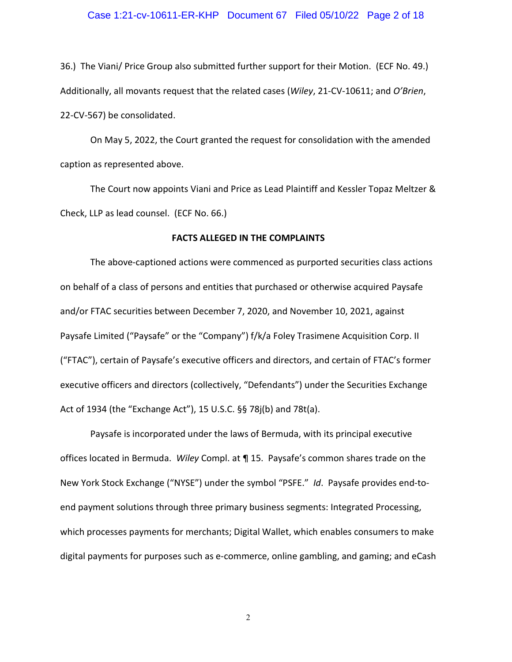# Case 1:21-cv-10611-ER-KHP Document 67 Filed 05/10/22 Page 2 of 18

36.) The Viani/ Price Group also submitted further support for their Motion. (ECF No. 49.) Additionally, all movants request that the related cases (*Wiley*, 21-CV-10611; and *O'Brien*, 22-CV-567) be consolidated.

On May 5, 2022, the Court granted the request for consolidation with the amended caption as represented above.

The Court now appoints Viani and Price as Lead Plaintiff and Kessler Topaz Meltzer & Check, LLP as lead counsel. (ECF No. 66.)

#### **FACTS ALLEGED IN THE COMPLAINTS**

The above-captioned actions were commenced as purported securities class actions on behalf of a class of persons and entities that purchased or otherwise acquired Paysafe and/or FTAC securities between December 7, 2020, and November 10, 2021, against Paysafe Limited ("Paysafe" or the "Company") f/k/a Foley Trasimene Acquisition Corp. II ("FTAC"), certain of Paysafe's executive officers and directors, and certain of FTAC's former executive officers and directors (collectively, "Defendants") under the Securities Exchange Act of 1934 (the "Exchange Act"), 15 U.S.C. §§ 78j(b) and 78t(a).

Paysafe is incorporated under the laws of Bermuda, with its principal executive offices located in Bermuda. *Wiley* Compl. at ¶ 15. Paysafe's common shares trade on the New York Stock Exchange ("NYSE") under the symbol "PSFE." *Id*. Paysafe provides end-toend payment solutions through three primary business segments: Integrated Processing, which processes payments for merchants; Digital Wallet, which enables consumers to make digital payments for purposes such as e-commerce, online gambling, and gaming; and eCash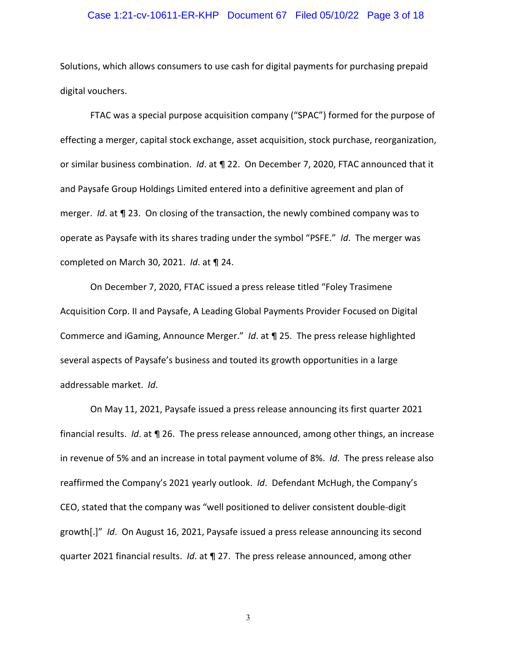### Case 1:21-cv-10611-ER-KHP Document 67 Filed 05/10/22 Page 3 of 18

Solutions, which allows consumers to use cash for digital payments for purchasing prepaid digital vouchers.

FTAC was a special purpose acquisition company ("SPAC") formed for the purpose of effecting a merger, capital stock exchange, asset acquisition, stock purchase, reorganization, or similar business combination. *Id*. at ¶ 22. On December 7, 2020, FTAC announced that it and Paysafe Group Holdings Limited entered into a definitive agreement and plan of merger. *Id*. at ¶ 23. On closing of the transaction, the newly combined company was to operate as Paysafe with its shares trading under the symbol "PSFE." *Id*. The merger was completed on March 30, 2021. *Id*. at ¶ 24.

On December 7, 2020, FTAC issued a press release titled "Foley Trasimene Acquisition Corp. II and Paysafe, A Leading Global Payments Provider Focused on Digital Commerce and iGaming, Announce Merger." *Id*. at ¶ 25. The press release highlighted several aspects of Paysafe's business and touted its growth opportunities in a large addressable market. *Id*.

On May 11, 2021, Paysafe issued a press release announcing its first quarter 2021 financial results. *Id*. at ¶ 26. The press release announced, among other things, an increase in revenue of 5% and an increase in total payment volume of 8%. *Id*. The press release also reaffirmed the Company's 2021 yearly outlook. *Id*. Defendant McHugh, the Company's CEO, stated that the company was "well positioned to deliver consistent double-digit growth[.]" *Id*. On August 16, 2021, Paysafe issued a press release announcing its second quarter 2021 financial results. *Id*. at ¶ 27. The press release announced, among other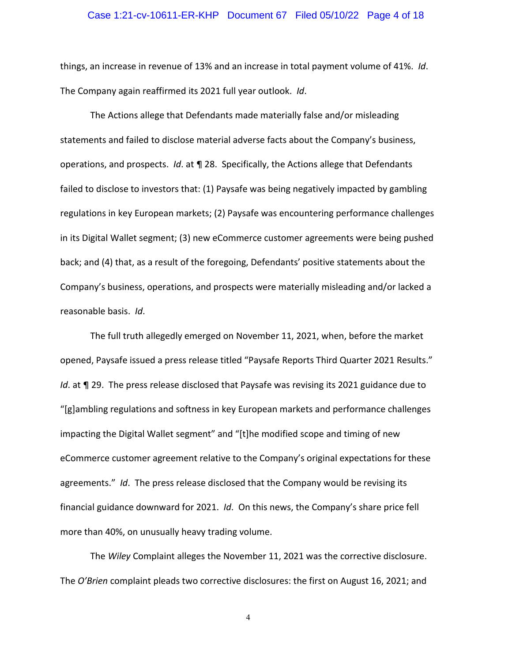### Case 1:21-cv-10611-ER-KHP Document 67 Filed 05/10/22 Page 4 of 18

things, an increase in revenue of 13% and an increase in total payment volume of 41%. *Id*. The Company again reaffirmed its 2021 full year outlook. *Id*.

The Actions allege that Defendants made materially false and/or misleading statements and failed to disclose material adverse facts about the Company's business, operations, and prospects. *Id*. at ¶ 28. Specifically, the Actions allege that Defendants failed to disclose to investors that: (1) Paysafe was being negatively impacted by gambling regulations in key European markets; (2) Paysafe was encountering performance challenges in its Digital Wallet segment; (3) new eCommerce customer agreements were being pushed back; and (4) that, as a result of the foregoing, Defendants' positive statements about the Company's business, operations, and prospects were materially misleading and/or lacked a reasonable basis. *Id*.

The full truth allegedly emerged on November 11, 2021, when, before the market opened, Paysafe issued a press release titled "Paysafe Reports Third Quarter 2021 Results." *Id.* at **¶** 29. The press release disclosed that Paysafe was revising its 2021 guidance due to "[g]ambling regulations and softness in key European markets and performance challenges impacting the Digital Wallet segment" and "[t]he modified scope and timing of new eCommerce customer agreement relative to the Company's original expectations for these agreements." *Id*. The press release disclosed that the Company would be revising its financial guidance downward for 2021. *Id*. On this news, the Company's share price fell more than 40%, on unusually heavy trading volume.

The *Wiley* Complaint alleges the November 11, 2021 was the corrective disclosure. The *O'Brien* complaint pleads two corrective disclosures: the first on August 16, 2021; and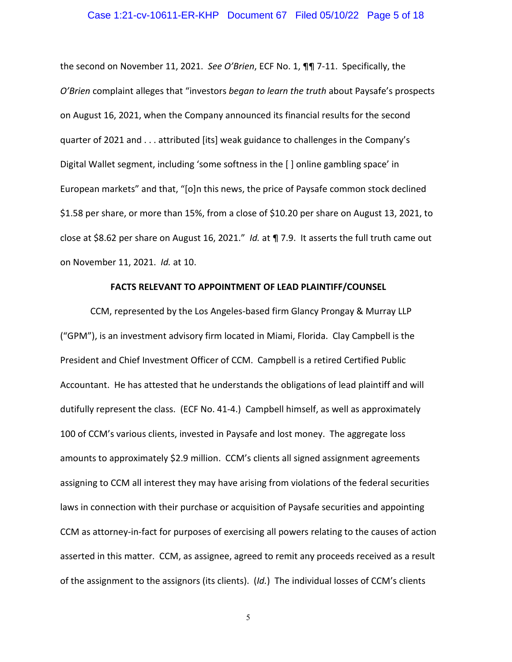#### Case 1:21-cv-10611-ER-KHP Document 67 Filed 05/10/22 Page 5 of 18

the second on November 11, 2021. *See O'Brien*, ECF No. 1, ¶¶ 7-11. Specifically, the *O'Brien* complaint alleges that "investors *began to learn the truth* about Paysafe's prospects on August 16, 2021, when the Company announced its financial results for the second quarter of 2021 and . . . attributed [its] weak guidance to challenges in the Company's Digital Wallet segment, including 'some softness in the [ ] online gambling space' in European markets" and that, "[o]n this news, the price of Paysafe common stock declined \$1.58 per share, or more than 15%, from a close of \$10.20 per share on August 13, 2021, to close at \$8.62 per share on August 16, 2021." *Id.* at ¶ 7.9. It asserts the full truth came out on November 11, 2021. *Id.* at 10.

### **FACTS RELEVANT TO APPOINTMENT OF LEAD PLAINTIFF/COUNSEL**

CCM, represented by the Los Angeles-based firm Glancy Prongay & Murray LLP ("GPM"), is an investment advisory firm located in Miami, Florida. Clay Campbell is the President and Chief Investment Officer of CCM. Campbell is a retired Certified Public Accountant. He has attested that he understands the obligations of lead plaintiff and will dutifully represent the class. (ECF No. 41-4.) Campbell himself, as well as approximately 100 of CCM's various clients, invested in Paysafe and lost money. The aggregate loss amounts to approximately \$2.9 million. CCM's clients all signed assignment agreements assigning to CCM all interest they may have arising from violations of the federal securities laws in connection with their purchase or acquisition of Paysafe securities and appointing CCM as attorney-in-fact for purposes of exercising all powers relating to the causes of action asserted in this matter. CCM, as assignee, agreed to remit any proceeds received as a result of the assignment to the assignors (its clients). (*Id.*) The individual losses of CCM's clients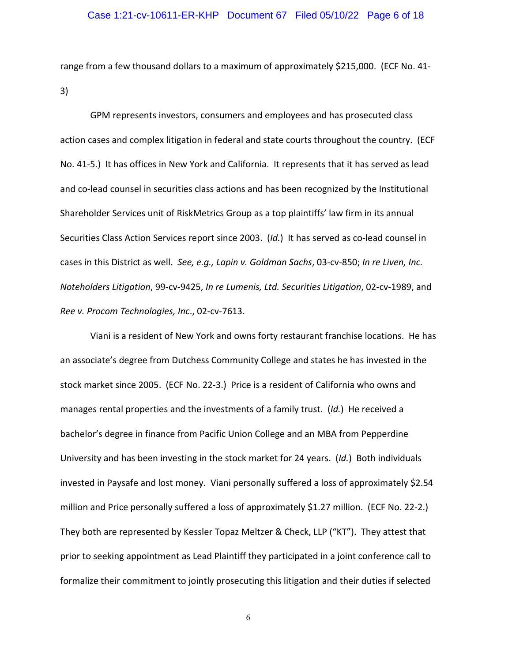range from a few thousand dollars to a maximum of approximately \$215,000. (ECF No. 41- 3)

GPM represents investors, consumers and employees and has prosecuted class action cases and complex litigation in federal and state courts throughout the country. (ECF No. 41-5.) It has offices in New York and California. It represents that it has served as lead and co-lead counsel in securities class actions and has been recognized by the Institutional Shareholder Services unit of RiskMetrics Group as a top plaintiffs' law firm in its annual Securities Class Action Services report since 2003. (*Id.*) It has served as co-lead counsel in cases in this District as well. *See, e.g., Lapin v. Goldman Sachs*, 03-cv-850; *In re Liven, Inc. Noteholders Litigation*, 99-cv-9425, *In re Lumenis, Ltd. Securities Litigation*, 02-cv-1989, and *Ree v. Procom Technologies, Inc*., 02-cv-7613.

Viani is a resident of New York and owns forty restaurant franchise locations. He has an associate's degree from Dutchess Community College and states he has invested in the stock market since 2005. (ECF No. 22-3.) Price is a resident of California who owns and manages rental properties and the investments of a family trust. (*Id.*) He received a bachelor's degree in finance from Pacific Union College and an MBA from Pepperdine University and has been investing in the stock market for 24 years. (*Id.*) Both individuals invested in Paysafe and lost money. Viani personally suffered a loss of approximately \$2.54 million and Price personally suffered a loss of approximately \$1.27 million. (ECF No. 22-2.) They both are represented by Kessler Topaz Meltzer & Check, LLP ("KT"). They attest that prior to seeking appointment as Lead Plaintiff they participated in a joint conference call to formalize their commitment to jointly prosecuting this litigation and their duties if selected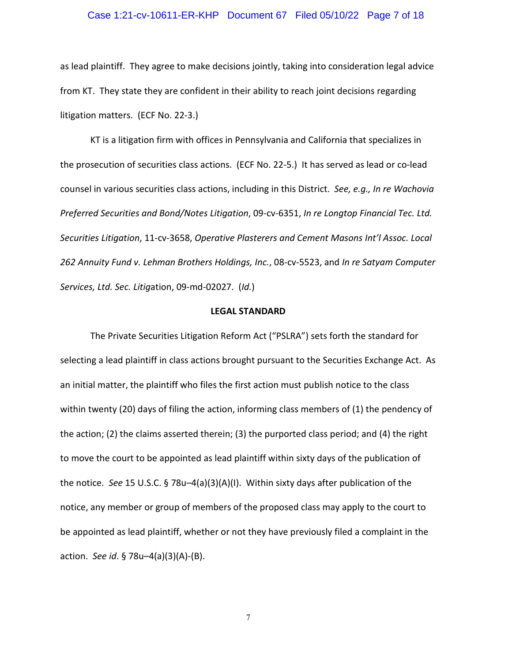# Case 1:21-cv-10611-ER-KHP Document 67 Filed 05/10/22 Page 7 of 18

as lead plaintiff. They agree to make decisions jointly, taking into consideration legal advice from KT. They state they are confident in their ability to reach joint decisions regarding litigation matters. (ECF No. 22-3.)

KT is a litigation firm with offices in Pennsylvania and California that specializes in the prosecution of securities class actions. (ECF No. 22-5.) It has served as lead or co-lead counsel in various securities class actions, including in this District. *See, e.g., In re Wachovia Preferred Securities and Bond/Notes Litigation*, 09-cv-6351, *In re Longtop Financial Tec. Ltd. Securities Litigation*, 11-cv-3658, *Operative Plasterers and Cement Masons Int'l Assoc. Local 262 Annuity Fund v. Lehman Brothers Holdings, Inc.*, 08-cv-5523, and *In re Satyam Computer Services, Ltd. Sec. Litig*ation, 09-md-02027. (*Id.*)

#### **LEGAL STANDARD**

The Private Securities Litigation Reform Act ("PSLRA") sets forth the standard for selecting a lead plaintiff in class actions brought pursuant to the Securities Exchange Act. As an initial matter, the plaintiff who files the first action must publish notice to the class within twenty (20) days of filing the action, informing class members of (1) the pendency of the action; (2) the claims asserted therein; (3) the purported class period; and (4) the right to move the court to be appointed as lead plaintiff within sixty days of the publication of the notice. *See* 15 U.S.C. § 78u–4(a)(3)(A)(I). Within sixty days after publication of the notice, any member or group of members of the proposed class may apply to the court to be appointed as lead plaintiff, whether or not they have previously filed a complaint in the action. *See id*. § 78u–4(a)(3)(A)-(B).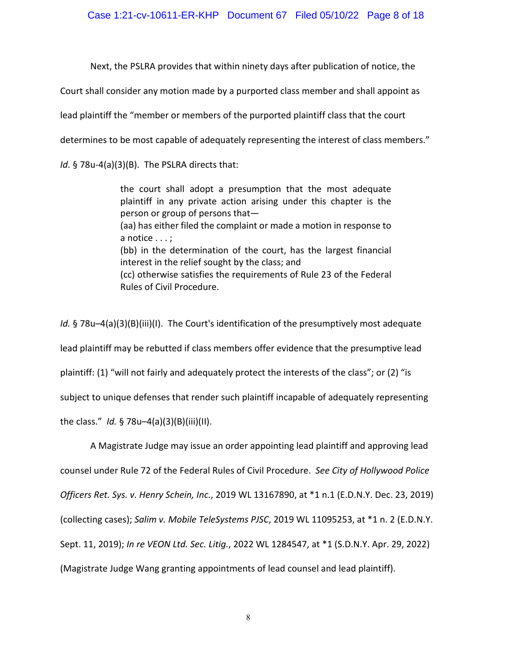Next, the PSLRA provides that within ninety days after publication of notice, the

Court shall consider any motion made by a purported class member and shall appoint as

lead plaintiff the "member or members of the purported plaintiff class that the court

determines to be most capable of adequately representing the interest of class members."

*Id*. § 78u-4(a)(3)(B). The PSLRA directs that:

the court shall adopt a presumption that the most adequate plaintiff in any private action arising under this chapter is the person or group of persons that— (aa) has either filed the complaint or made a motion in response to a notice . . . ; (bb) in the determination of the court, has the largest financial interest in the relief sought by the class; and (cc) otherwise satisfies the requirements of Rule 23 of the Federal Rules of Civil Procedure.

*Id.* § 78u–4(a)(3)(B)(iii)(I). The Court's identification of the presumptively most adequate lead plaintiff may be rebutted if class members offer evidence that the presumptive lead plaintiff: (1) "will not fairly and adequately protect the interests of the class"; or (2) "is subject to unique defenses that render such plaintiff incapable of adequately representing the class." *Id.* § 78u–4(a)(3)(B)(iii)(II).

A Magistrate Judge may issue an order appointing lead plaintiff and approving lead counsel under Rule 72 of the Federal Rules of Civil Procedure. *See City of Hollywood Police Officers Ret. Sys. v. Henry Schein, Inc.*, 2019 WL 13167890, at \*1 n.1 (E.D.N.Y. Dec. 23, 2019) (collecting cases); *Salim v. Mobile TeleSystems PJSC*, 2019 WL 11095253, at \*1 n. 2 (E.D.N.Y. Sept. 11, 2019); *In re VEON Ltd. Sec. Litig.*, 2022 WL 1284547, at \*1 (S.D.N.Y. Apr. 29, 2022) (Magistrate Judge Wang granting appointments of lead counsel and lead plaintiff).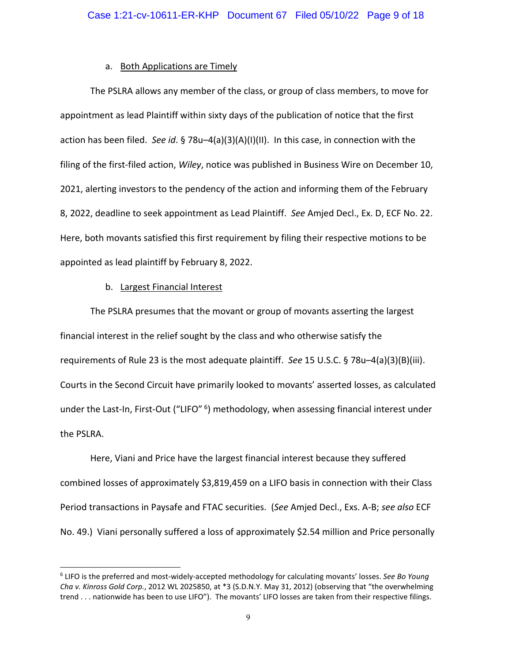### a. Both Applications are Timely

The PSLRA allows any member of the class, or group of class members, to move for appointment as lead Plaintiff within sixty days of the publication of notice that the first action has been filed. *See id*. § 78u–4(a)(3)(A)(I)(II). In this case, in connection with the filing of the first-filed action, *Wiley*, notice was published in Business Wire on December 10, 2021, alerting investors to the pendency of the action and informing them of the February 8, 2022, deadline to seek appointment as Lead Plaintiff. *See* Amjed Decl., Ex. D, ECF No. 22. Here, both movants satisfied this first requirement by filing their respective motions to be appointed as lead plaintiff by February 8, 2022.

### b. Largest Financial Interest

The PSLRA presumes that the movant or group of movants asserting the largest financial interest in the relief sought by the class and who otherwise satisfy the requirements of Rule 23 is the most adequate plaintiff. *See* 15 U.S.C. § 78u–4(a)(3)(B)(iii). Courts in the Second Circuit have primarily looked to movants' asserted losses, as calculated under the Last-In, First-Out ("LIFO" <sup>6</sup>) methodology, when assessing financial interest under the PSLRA.

Here, Viani and Price have the largest financial interest because they suffered combined losses of approximately \$3,819,459 on a LIFO basis in connection with their Class Period transactions in Paysafe and FTAC securities. (*See* Amjed Decl., Exs. A-B; *see also* ECF No. 49.) Viani personally suffered a loss of approximately \$2.54 million and Price personally

<sup>6</sup> LIFO is the preferred and most-widely-accepted methodology for calculating movants' losses. *See Bo Young Cha v. Kinross Gold Corp.*, 2012 WL 2025850, at \*3 (S.D.N.Y. May 31, 2012) (observing that "the overwhelming trend . . . nationwide has been to use LIFO"). The movants' LIFO losses are taken from their respective filings.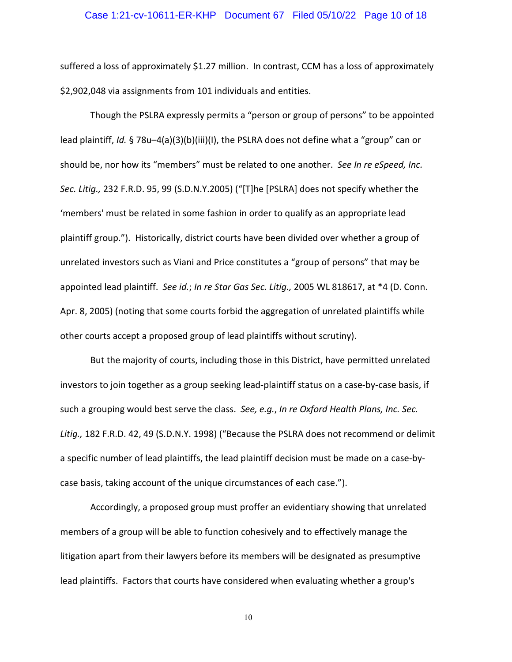#### Case 1:21-cv-10611-ER-KHP Document 67 Filed 05/10/22 Page 10 of 18

suffered a loss of approximately \$1.27 million. In contrast, CCM has a loss of approximately \$2,902,048 via assignments from 101 individuals and entities.

Though the PSLRA expressly permits a "person or group of persons" to be appointed lead plaintiff, *Id.* § 78u–4(a)(3)(b)(iii)(I), the PSLRA does not define what a "group" can or should be, nor how its "members" must be related to one another. *See In re eSpeed, Inc. Sec. Litig.,* 232 F.R.D. 95, 99 (S.D.N.Y.2005) ("[T]he [PSLRA] does not specify whether the 'members' must be related in some fashion in order to qualify as an appropriate lead plaintiff group."). Historically, district courts have been divided over whether a group of unrelated investors such as Viani and Price constitutes a "group of persons" that may be appointed lead plaintiff. *See id.*; *In re Star Gas Sec. Litig.,* 2005 WL 818617, at \*4 (D. Conn. Apr. 8, 2005) (noting that some courts forbid the aggregation of unrelated plaintiffs while other courts accept a proposed group of lead plaintiffs without scrutiny).

But the majority of courts, including those in this District, have permitted unrelated investors to join together as a group seeking lead-plaintiff status on a case-by-case basis, if such a grouping would best serve the class. *See, e.g.*, *In re Oxford Health Plans, Inc. Sec. Litig.,* 182 F.R.D. 42, 49 (S.D.N.Y. 1998) ("Because the PSLRA does not recommend or delimit a specific number of lead plaintiffs, the lead plaintiff decision must be made on a case-bycase basis, taking account of the unique circumstances of each case.").

Accordingly, a proposed group must proffer an evidentiary showing that unrelated members of a group will be able to function cohesively and to effectively manage the litigation apart from their lawyers before its members will be designated as presumptive lead plaintiffs. Factors that courts have considered when evaluating whether a group's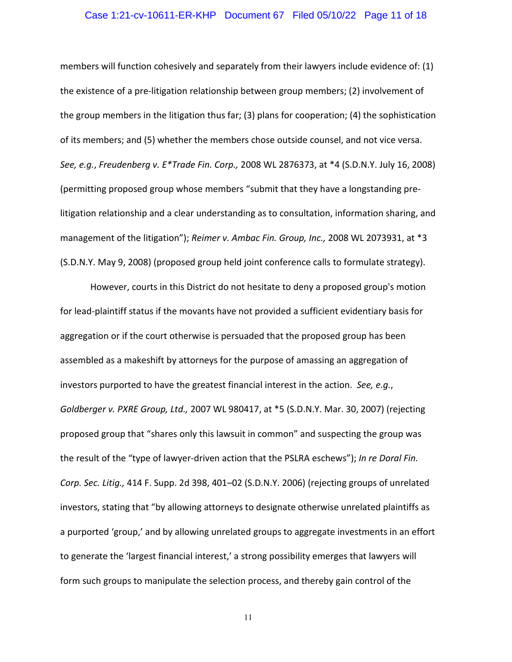#### Case 1:21-cv-10611-ER-KHP Document 67 Filed 05/10/22 Page 11 of 18

members will function cohesively and separately from their lawyers include evidence of: (1) the existence of a pre-litigation relationship between group members; (2) involvement of the group members in the litigation thus far; (3) plans for cooperation; (4) the sophistication of its members; and (5) whether the members chose outside counsel, and not vice versa. *See, e.g.*, *Freudenberg v. E\*Trade Fin. Corp.,* 2008 WL 2876373, at \*4 (S.D.N.Y. July 16, 2008) (permitting proposed group whose members "submit that they have a longstanding prelitigation relationship and a clear understanding as to consultation, information sharing, and management of the litigation"); *Reimer v. Ambac Fin. Group, Inc.,* 2008 WL 2073931, at \*3 (S.D.N.Y. May 9, 2008) (proposed group held joint conference calls to formulate strategy).

However, courts in this District do not hesitate to deny a proposed group's motion for lead-plaintiff status if the movants have not provided a sufficient evidentiary basis for aggregation or if the court otherwise is persuaded that the proposed group has been assembled as a makeshift by attorneys for the purpose of amassing an aggregation of investors purported to have the greatest financial interest in the action. *See, e.g.*, *Goldberger v. PXRE Group, Ltd.,* 2007 WL 980417, at \*5 (S.D.N.Y. Mar. 30, 2007) (rejecting proposed group that "shares only this lawsuit in common" and suspecting the group was the result of the "type of lawyer-driven action that the PSLRA eschews"); *In re Doral Fin. Corp. Sec. Litig.,* 414 F. Supp. 2d 398, 401–02 (S.D.N.Y. 2006) (rejecting groups of unrelated investors, stating that "by allowing attorneys to designate otherwise unrelated plaintiffs as a purported 'group,' and by allowing unrelated groups to aggregate investments in an effort to generate the 'largest financial interest,' a strong possibility emerges that lawyers will form such groups to manipulate the selection process, and thereby gain control of the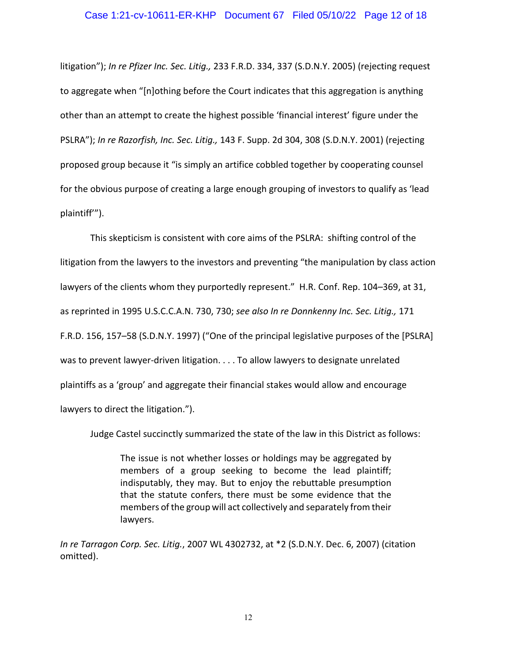#### Case 1:21-cv-10611-ER-KHP Document 67 Filed 05/10/22 Page 12 of 18

litigation"); *In re Pfizer Inc. Sec. Litig.,* 233 F.R.D. 334, 337 (S.D.N.Y. 2005) (rejecting request to aggregate when "[n]othing before the Court indicates that this aggregation is anything other than an attempt to create the highest possible 'financial interest' figure under the PSLRA"); *In re Razorfish, Inc. Sec. Litig.,* 143 F. Supp. 2d 304, 308 (S.D.N.Y. 2001) (rejecting proposed group because it "is simply an artifice cobbled together by cooperating counsel for the obvious purpose of creating a large enough grouping of investors to qualify as 'lead plaintiff'").

This skepticism is consistent with core aims of the PSLRA: shifting control of the litigation from the lawyers to the investors and preventing "the manipulation by class action lawyers of the clients whom they purportedly represent." H.R. Conf. Rep. 104–369, at 31, as reprinted in 1995 U.S.C.C.A.N. 730, 730; *see also In re Donnkenny Inc. Sec. Litig.,* 171 F.R.D. 156, 157–58 (S.D.N.Y. 1997) ("One of the principal legislative purposes of the [PSLRA] was to prevent lawyer-driven litigation. . . . To allow lawyers to designate unrelated plaintiffs as a 'group' and aggregate their financial stakes would allow and encourage lawyers to direct the litigation.").

Judge Castel succinctly summarized the state of the law in this District as follows:

The issue is not whether losses or holdings may be aggregated by members of a group seeking to become the lead plaintiff; indisputably, they may. But to enjoy the rebuttable presumption that the statute confers, there must be some evidence that the members of the group will act collectively and separately from their lawyers.

*In re Tarragon Corp. Sec. Litig.*, 2007 WL 4302732, at \*2 (S.D.N.Y. Dec. 6, 2007) (citation omitted).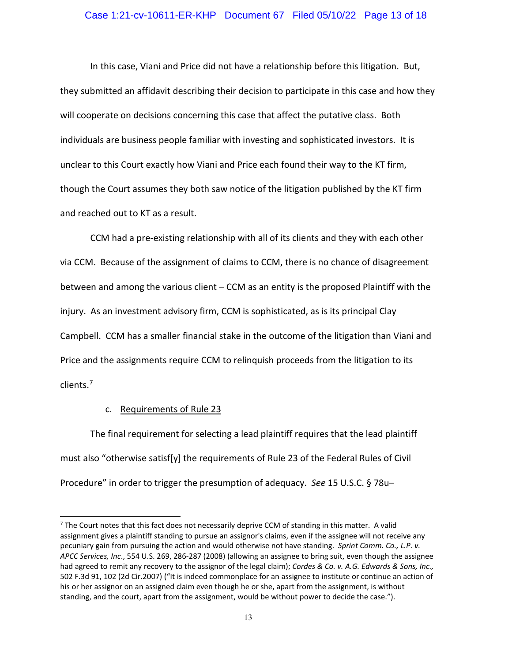#### Case 1:21-cv-10611-ER-KHP Document 67 Filed 05/10/22 Page 13 of 18

In this case, Viani and Price did not have a relationship before this litigation. But, they submitted an affidavit describing their decision to participate in this case and how they will cooperate on decisions concerning this case that affect the putative class. Both individuals are business people familiar with investing and sophisticated investors. It is unclear to this Court exactly how Viani and Price each found their way to the KT firm, though the Court assumes they both saw notice of the litigation published by the KT firm and reached out to KT as a result.

CCM had a pre-existing relationship with all of its clients and they with each other via CCM. Because of the assignment of claims to CCM, there is no chance of disagreement between and among the various client – CCM as an entity is the proposed Plaintiff with the injury. As an investment advisory firm, CCM is sophisticated, as is its principal Clay Campbell. CCM has a smaller financial stake in the outcome of the litigation than Viani and Price and the assignments require CCM to relinquish proceeds from the litigation to its clients.<sup>7</sup>

### c. Requirements of Rule 23

The final requirement for selecting a lead plaintiff requires that the lead plaintiff must also "otherwise satisf[y] the requirements of Rule 23 of the Federal Rules of Civil Procedure" in order to trigger the presumption of adequacy. *See* 15 U.S.C. § 78u–

 $7$  The Court notes that this fact does not necessarily deprive CCM of standing in this matter. A valid assignment gives a plaintiff standing to pursue an assignor's claims, even if the assignee will not receive any pecuniary gain from pursuing the action and would otherwise not have standing. *Sprint Comm. Co., L.P. v. APCC Services, Inc*., 554 U.S. 269, 286-287 (2008) (allowing an assignee to bring suit, even though the assignee had agreed to remit any recovery to the assignor of the legal claim); *Cordes & Co. v. A.G. Edwards & Sons, Inc.,* 502 F.3d 91, 102 (2d Cir.2007) ("It is indeed commonplace for an assignee to institute or continue an action of his or her assignor on an assigned claim even though he or she, apart from the assignment, is without standing, and the court, apart from the assignment, would be without power to decide the case.").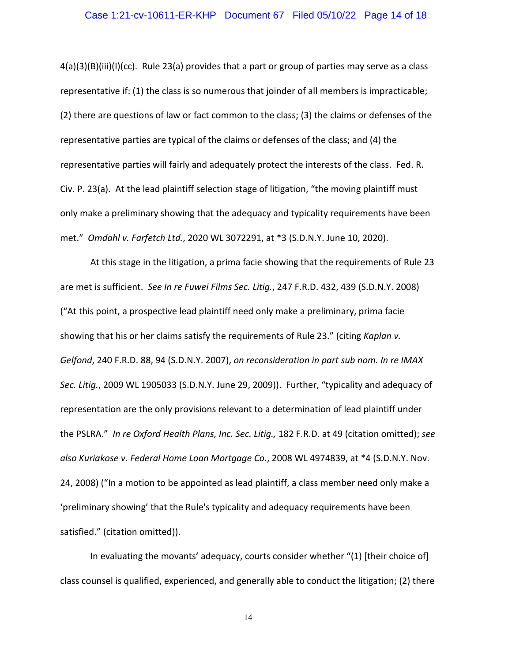#### Case 1:21-cv-10611-ER-KHP Document 67 Filed 05/10/22 Page 14 of 18

4(a)(3)(B)(iii)(I)(cc). Rule 23(a) provides that a part or group of parties may serve as a class representative if: (1) the class is so numerous that joinder of all members is impracticable; (2) there are questions of law or fact common to the class; (3) the claims or defenses of the representative parties are typical of the claims or defenses of the class; and (4) the representative parties will fairly and adequately protect the interests of the class. Fed. R. Civ. P. 23(a). At the lead plaintiff selection stage of litigation, "the moving plaintiff must only make a preliminary showing that the adequacy and typicality requirements have been met." *Omdahl v. Farfetch Ltd.*, 2020 WL 3072291, at \*3 (S.D.N.Y. June 10, 2020).

At this stage in the litigation, a prima facie showing that the requirements of Rule 23 are met is sufficient. *See In re Fuwei Films Sec. Litig.*, 247 F.R.D. 432, 439 (S.D.N.Y. 2008) ("At this point, a prospective lead plaintiff need only make a preliminary, prima facie showing that his or her claims satisfy the requirements of Rule 23." (citing *Kaplan v. Gelfond*, 240 F.R.D. 88, 94 (S.D.N.Y. 2007), *on reconsideration in part sub nom. In re IMAX Sec. Litig.*, 2009 WL 1905033 (S.D.N.Y. June 29, 2009)). Further, "typicality and adequacy of representation are the only provisions relevant to a determination of lead plaintiff under the PSLRA." *In re Oxford Health Plans, Inc. Sec. Litig.,* 182 F.R.D. at 49 (citation omitted); *see also Kuriakose v. Federal Home Loan Mortgage Co.*, 2008 WL 4974839, at \*4 (S.D.N.Y. Nov. 24, 2008) ("In a motion to be appointed as lead plaintiff, a class member need only make a 'preliminary showing' that the Rule's typicality and adequacy requirements have been satisfied." (citation omitted)).

In evaluating the movants' adequacy, courts consider whether "(1) [their choice of] class counsel is qualified, experienced, and generally able to conduct the litigation; (2) there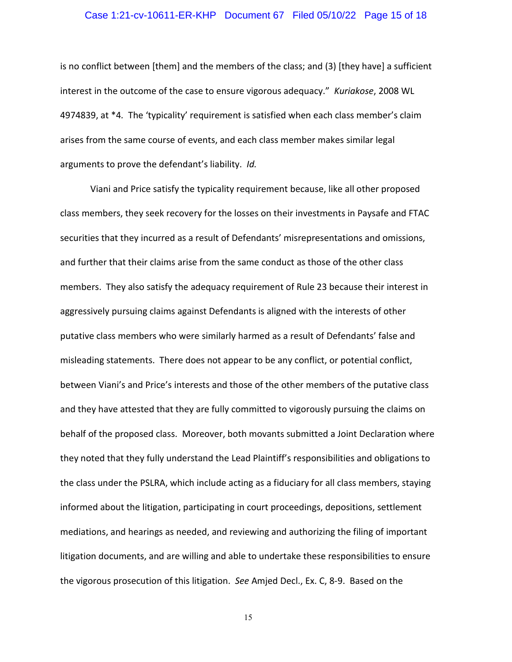# Case 1:21-cv-10611-ER-KHP Document 67 Filed 05/10/22 Page 15 of 18

is no conflict between [them] and the members of the class; and (3) [they have] a sufficient interest in the outcome of the case to ensure vigorous adequacy." *Kuriakose*, 2008 WL 4974839, at \*4*.* The 'typicality' requirement is satisfied when each class member's claim arises from the same course of events, and each class member makes similar legal arguments to prove the defendant's liability. *Id.*

Viani and Price satisfy the typicality requirement because, like all other proposed class members, they seek recovery for the losses on their investments in Paysafe and FTAC securities that they incurred as a result of Defendants' misrepresentations and omissions, and further that their claims arise from the same conduct as those of the other class members. They also satisfy the adequacy requirement of Rule 23 because their interest in aggressively pursuing claims against Defendants is aligned with the interests of other putative class members who were similarly harmed as a result of Defendants' false and misleading statements. There does not appear to be any conflict, or potential conflict, between Viani's and Price's interests and those of the other members of the putative class and they have attested that they are fully committed to vigorously pursuing the claims on behalf of the proposed class. Moreover, both movants submitted a Joint Declaration where they noted that they fully understand the Lead Plaintiff's responsibilities and obligations to the class under the PSLRA, which include acting as a fiduciary for all class members, staying informed about the litigation, participating in court proceedings, depositions, settlement mediations, and hearings as needed, and reviewing and authorizing the filing of important litigation documents, and are willing and able to undertake these responsibilities to ensure the vigorous prosecution of this litigation. *See* Amjed Decl., Ex. C, 8-9. Based on the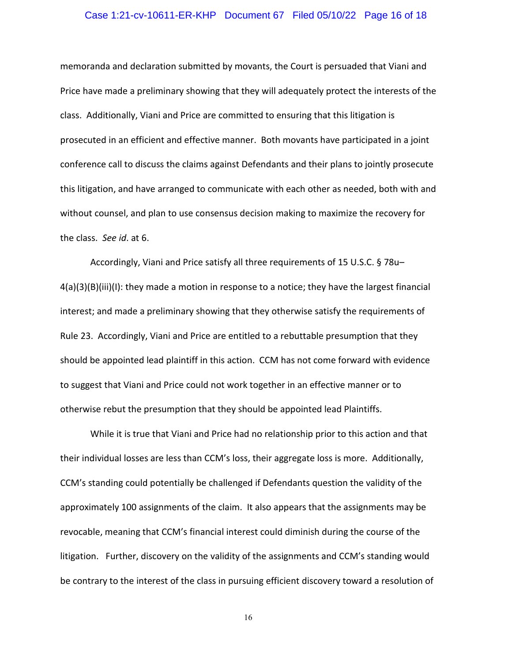# Case 1:21-cv-10611-ER-KHP Document 67 Filed 05/10/22 Page 16 of 18

memoranda and declaration submitted by movants, the Court is persuaded that Viani and Price have made a preliminary showing that they will adequately protect the interests of the class. Additionally, Viani and Price are committed to ensuring that this litigation is prosecuted in an efficient and effective manner. Both movants have participated in a joint conference call to discuss the claims against Defendants and their plans to jointly prosecute this litigation, and have arranged to communicate with each other as needed, both with and without counsel, and plan to use consensus decision making to maximize the recovery for the class. *See id*. at 6.

Accordingly, Viani and Price satisfy all three requirements of 15 U.S.C. § 78u– 4(a)(3)(B)(iii)(I): they made a motion in response to a notice; they have the largest financial interest; and made a preliminary showing that they otherwise satisfy the requirements of Rule 23. Accordingly, Viani and Price are entitled to a rebuttable presumption that they should be appointed lead plaintiff in this action. CCM has not come forward with evidence to suggest that Viani and Price could not work together in an effective manner or to otherwise rebut the presumption that they should be appointed lead Plaintiffs.

While it is true that Viani and Price had no relationship prior to this action and that their individual losses are less than CCM's loss, their aggregate loss is more. Additionally, CCM's standing could potentially be challenged if Defendants question the validity of the approximately 100 assignments of the claim. It also appears that the assignments may be revocable, meaning that CCM's financial interest could diminish during the course of the litigation. Further, discovery on the validity of the assignments and CCM's standing would be contrary to the interest of the class in pursuing efficient discovery toward a resolution of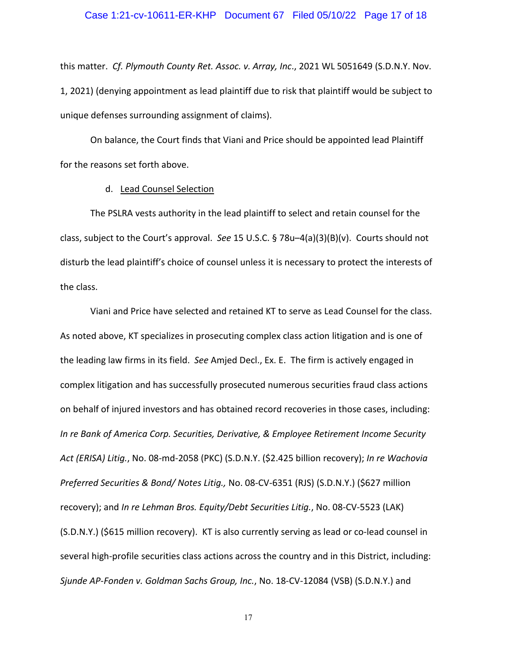# Case 1:21-cv-10611-ER-KHP Document 67 Filed 05/10/22 Page 17 of 18

this matter. *Cf. Plymouth County Ret. Assoc. v. Array, Inc*., 2021 WL 5051649 (S.D.N.Y. Nov. 1, 2021) (denying appointment as lead plaintiff due to risk that plaintiff would be subject to unique defenses surrounding assignment of claims).

On balance, the Court finds that Viani and Price should be appointed lead Plaintiff for the reasons set forth above.

### d. Lead Counsel Selection

The PSLRA vests authority in the lead plaintiff to select and retain counsel for the class, subject to the Court's approval. *See* 15 U.S.C. § 78u–4(a)(3)(B)(v). Courts should not disturb the lead plaintiff's choice of counsel unless it is necessary to protect the interests of the class.

Viani and Price have selected and retained KT to serve as Lead Counsel for the class. As noted above, KT specializes in prosecuting complex class action litigation and is one of the leading law firms in its field. *See* Amjed Decl., Ex. E. The firm is actively engaged in complex litigation and has successfully prosecuted numerous securities fraud class actions on behalf of injured investors and has obtained record recoveries in those cases, including: *In re Bank of America Corp. Securities, Derivative, & Employee Retirement Income Security Act (ERISA) Litig.*, No. 08-md-2058 (PKC) (S.D.N.Y. (\$2.425 billion recovery); *In re Wachovia Preferred Securities & Bond/ Notes Litig.,* No. 08-CV-6351 (RJS) (S.D.N.Y.) (\$627 million recovery); and *In re Lehman Bros. Equity/Debt Securities Litig.*, No. 08-CV-5523 (LAK) (S.D.N.Y.) (\$615 million recovery). KT is also currently serving as lead or co-lead counsel in several high-profile securities class actions across the country and in this District, including: *Sjunde AP-Fonden v. Goldman Sachs Group, Inc.*, No. 18-CV-12084 (VSB) (S.D.N.Y.) and